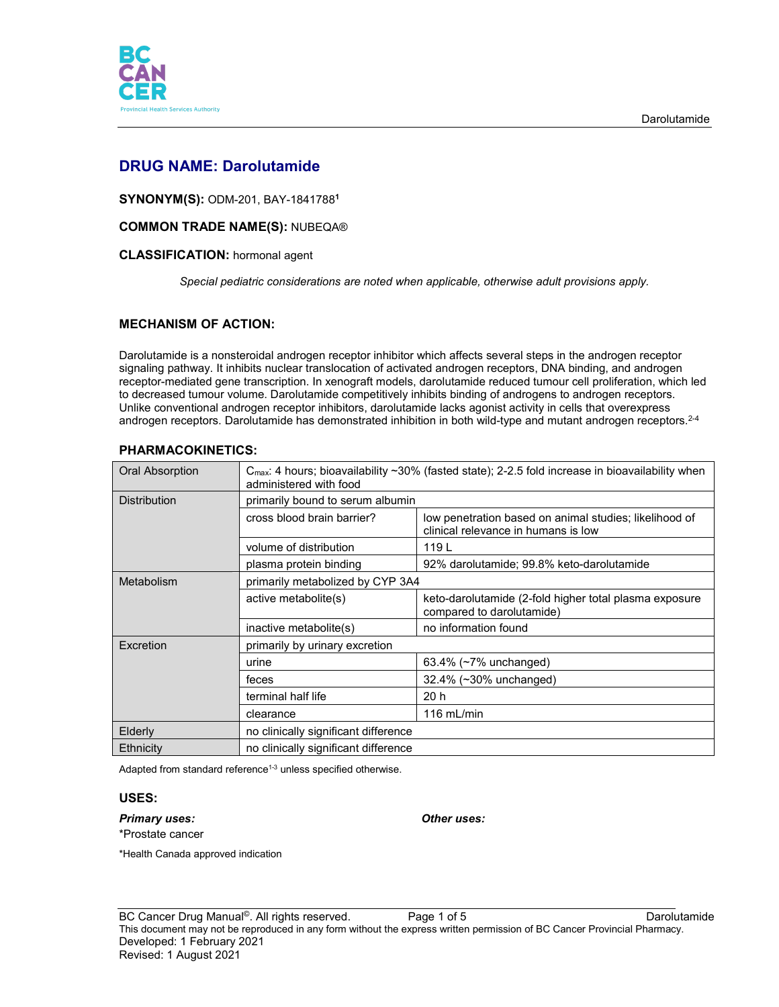

# **DRUG NAME: Darolutamide**

**SYNONYM(S):** ODM-201, BAY-1841788**<sup>1</sup>**

# **COMMON TRADE NAME(S):** NUBEQA®

## **CLASSIFICATION:** hormonal agent

*Special pediatric considerations are noted when applicable, otherwise adult provisions apply.*

# **MECHANISM OF ACTION:**

Darolutamide is a nonsteroidal androgen receptor inhibitor which affects several steps in the androgen receptor signaling pathway. It inhibits nuclear translocation of activated androgen receptors, DNA binding, and androgen receptor-mediated gene transcription. In xenograft models, darolutamide reduced tumour cell proliferation, which led to decreased tumour volume. Darolutamide competitively inhibits binding of androgens to androgen receptors. Unlike conventional androgen receptor inhibitors, darolutamide lacks agonist activity in cells that overexpress androgen receptors. Darolutamide has demonstrated inhibition in both wild-type and mutant androgen receptors.<sup>2-4</sup>

| Oral Absorption     | $C_{\text{max}}$ : 4 hours; bioavailability ~30% (fasted state); 2-2.5 fold increase in bioavailability when<br>administered with food |                                                                                               |  |
|---------------------|----------------------------------------------------------------------------------------------------------------------------------------|-----------------------------------------------------------------------------------------------|--|
| <b>Distribution</b> | primarily bound to serum albumin                                                                                                       |                                                                                               |  |
|                     | cross blood brain barrier?                                                                                                             | low penetration based on animal studies; likelihood of<br>clinical relevance in humans is low |  |
|                     | volume of distribution                                                                                                                 | 119 L                                                                                         |  |
|                     | plasma protein binding                                                                                                                 | 92% darolutamide; 99.8% keto-darolutamide                                                     |  |
| Metabolism          | primarily metabolized by CYP 3A4                                                                                                       |                                                                                               |  |
|                     | active metabolite(s)                                                                                                                   | keto-darolutamide (2-fold higher total plasma exposure<br>compared to darolutamide)           |  |
|                     | inactive metabolite(s)                                                                                                                 | no information found                                                                          |  |
| <b>Excretion</b>    | primarily by urinary excretion                                                                                                         |                                                                                               |  |
|                     | urine                                                                                                                                  | 63.4% $(~7%$ unchanged)                                                                       |  |
|                     | feces                                                                                                                                  | 32.4% (~30% unchanged)                                                                        |  |
|                     | terminal half life                                                                                                                     | 20h                                                                                           |  |
|                     | clearance                                                                                                                              | 116 $mL/min$                                                                                  |  |
| Elderly             | no clinically significant difference                                                                                                   |                                                                                               |  |
| Ethnicity           | no clinically significant difference                                                                                                   |                                                                                               |  |

# **PHARMACOKINETICS:**

Adapted from standard reference<sup>1-3</sup> unless specified otherwise.

### **USES:**

*Primary uses: Other uses:*

\*Prostate cancer

\*Health Canada approved indication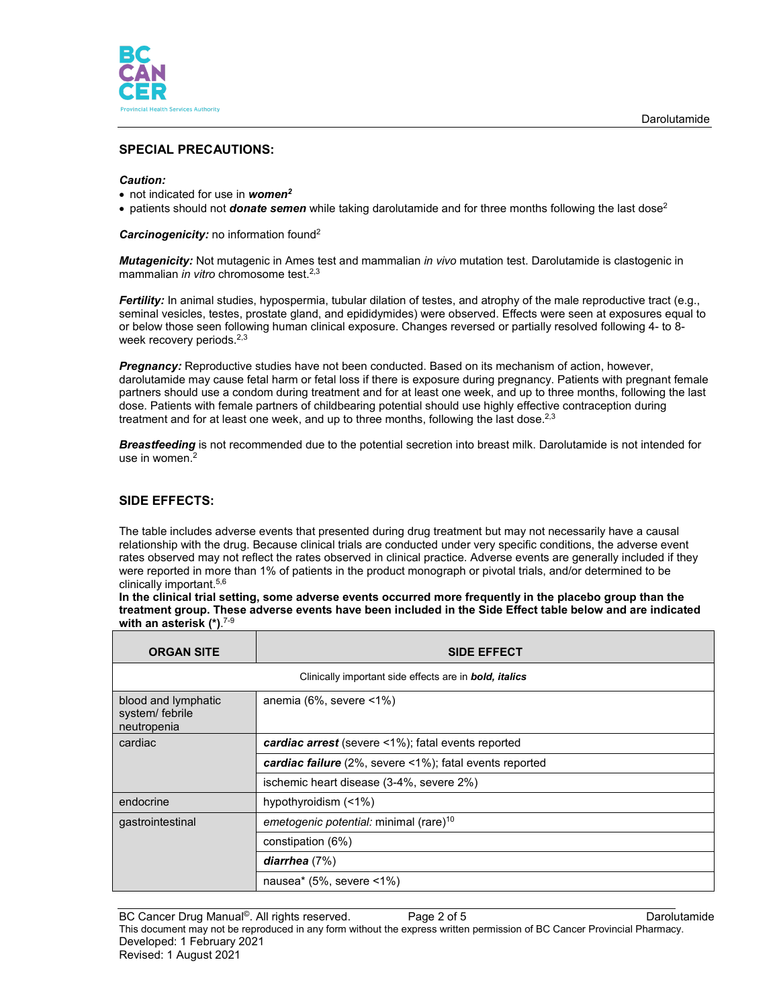

# **SPECIAL PRECAUTIONS:**

#### *Caution:*

- not indicated for use in *women2*
- patients should not *donate semen* while taking darolutamide and for three months following the last dose<sup>2</sup>

*Carcinogenicity:* no information found2

*Mutagenicity:* Not mutagenic in Ames test and mammalian *in vivo* mutation test. Darolutamide is clastogenic in mammalian *in vitro* chromosome test. 2,3

*Fertility:* In animal studies, hypospermia, tubular dilation of testes, and atrophy of the male reproductive tract (e.g., seminal vesicles, testes, prostate gland, and epididymides) were observed. Effects were seen at exposures equal to or below those seen following human clinical exposure. Changes reversed or partially resolved following 4- to 8 week recovery periods.<sup>2,3</sup>

**Pregnancy:** Reproductive studies have not been conducted. Based on its mechanism of action, however, darolutamide may cause fetal harm or fetal loss if there is exposure during pregnancy. Patients with pregnant female partners should use a condom during treatment and for at least one week, and up to three months, following the last dose. Patients with female partners of childbearing potential should use highly effective contraception during treatment and for at least one week, and up to three months, following the last dose.<sup>2,3</sup>

*Breastfeeding* is not recommended due to the potential secretion into breast milk. Darolutamide is not intended for use in women.<sup>2</sup>

# **SIDE EFFECTS:**

The table includes adverse events that presented during drug treatment but may not necessarily have a causal relationship with the drug. Because clinical trials are conducted under very specific conditions, the adverse event rates observed may not reflect the rates observed in clinical practice. Adverse events are generally included if they were reported in more than 1% of patients in the product monograph or pivotal trials, and/or determined to be clinically important.5,6

**In the clinical trial setting, some adverse events occurred more frequently in the placebo group than the treatment group. These adverse events have been included in the Side Effect table below and are indicated with an asterisk (\*)**. 7-9

| <b>ORGAN SITE</b>                                                     | <b>SIDE EFFECT</b>                                      |  |  |
|-----------------------------------------------------------------------|---------------------------------------------------------|--|--|
| Clinically important side effects are in <b>bold</b> , <i>italics</i> |                                                         |  |  |
| blood and lymphatic<br>system/ febrile<br>neutropenia                 | anemia (6%, severe $\leq 1\%$ )                         |  |  |
| cardiac                                                               | cardiac arrest (severe <1%); fatal events reported      |  |  |
|                                                                       | cardiac failure (2%, severe <1%); fatal events reported |  |  |
|                                                                       | ischemic heart disease (3-4%, severe 2%)                |  |  |
| endocrine                                                             | hypothyroidism (<1%)                                    |  |  |
| gastrointestinal                                                      | emetogenic potential: minimal (rare) <sup>10</sup>      |  |  |
|                                                                       | constipation (6%)                                       |  |  |
|                                                                       | diarrhea $(7%)$                                         |  |  |
|                                                                       | nausea* $(5\% ,$ severe <1%)                            |  |  |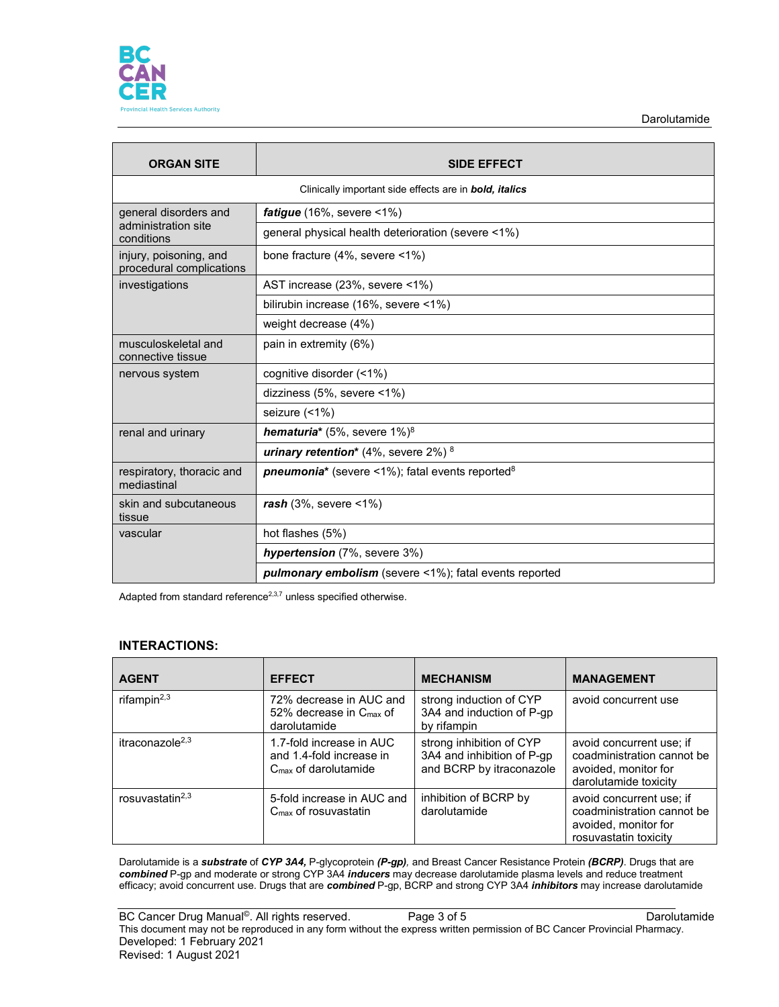

Darolutamide

| <b>ORGAN SITE</b>                                                     | <b>SIDE EFFECT</b>                                                 |  |  |
|-----------------------------------------------------------------------|--------------------------------------------------------------------|--|--|
| Clinically important side effects are in <b>bold</b> , <i>italics</i> |                                                                    |  |  |
| general disorders and<br>administration site<br>conditions            | <i>fatigue</i> $(16\% , \text{ severe} < 1\%)$                     |  |  |
|                                                                       | general physical health deterioration (severe <1%)                 |  |  |
| injury, poisoning, and<br>procedural complications                    | bone fracture (4%, severe <1%)                                     |  |  |
| investigations                                                        | AST increase (23%, severe <1%)                                     |  |  |
|                                                                       | bilirubin increase (16%, severe <1%)                               |  |  |
|                                                                       | weight decrease (4%)                                               |  |  |
| musculoskeletal and<br>connective tissue                              | pain in extremity (6%)                                             |  |  |
| nervous system                                                        | cognitive disorder (<1%)                                           |  |  |
|                                                                       | dizziness (5%, severe <1%)                                         |  |  |
|                                                                       | seizure (<1%)                                                      |  |  |
| renal and urinary                                                     | <b>hematuria*</b> (5%, severe $1\%$ ) <sup>8</sup>                 |  |  |
|                                                                       | urinary retention* $(4\% , \text{ severe } 2\%)$ <sup>8</sup>      |  |  |
| respiratory, thoracic and<br>mediastinal                              | <b>pneumonia*</b> (severe <1%); fatal events reported <sup>8</sup> |  |  |
| skin and subcutaneous<br>tissue                                       | $rash(3\%, severe < 1\%)$                                          |  |  |
| vascular                                                              | hot flashes (5%)                                                   |  |  |
|                                                                       | hypertension (7%, severe 3%)                                       |  |  |
|                                                                       | <b>pulmonary embolism</b> (severe <1%); fatal events reported      |  |  |

Adapted from standard reference $2,3,7$  unless specified otherwise.

### **INTERACTIONS:**

| <b>AGENT</b>                | <b>EFFECT</b>                                                                  | <b>MECHANISM</b>                                                                   | <b>MANAGEMENT</b>                                                                                       |
|-----------------------------|--------------------------------------------------------------------------------|------------------------------------------------------------------------------------|---------------------------------------------------------------------------------------------------------|
| rifampin $^{2,3}$           | 72% decrease in AUC and<br>52% decrease in $C_{\text{max}}$ of<br>darolutamide | strong induction of CYP<br>3A4 and induction of P-gp<br>by rifampin                | avoid concurrent use                                                                                    |
| itraconazole <sup>2,3</sup> | 1.7-fold increase in AUC<br>and 1.4-fold increase in<br>$Cmax$ of darolutamide | strong inhibition of CYP<br>3A4 and inhibition of P-gp<br>and BCRP by itraconazole | avoid concurrent use; if<br>coadministration cannot be<br>avoided, monitor for<br>darolutamide toxicity |
| rosuvastatin $2,3$          | 5-fold increase in AUC and<br>$C_{\text{max}}$ of rosuvastatin                 | inhibition of BCRP by<br>darolutamide                                              | avoid concurrent use; if<br>coadministration cannot be<br>avoided, monitor for<br>rosuvastatin toxicity |

Darolutamide is a *substrate* of *CYP 3A4,* P-glycoprotein *(P-gp),* and Breast Cancer Resistance Protein *(BCRP)*. Drugs that are *combined* P-gp and moderate or strong CYP 3A4 *inducers* may decrease darolutamide plasma levels and reduce treatment efficacy; avoid concurrent use. Drugs that are *combined* P-gp, BCRP and strong CYP 3A4 *inhibitors* may increase darolutamide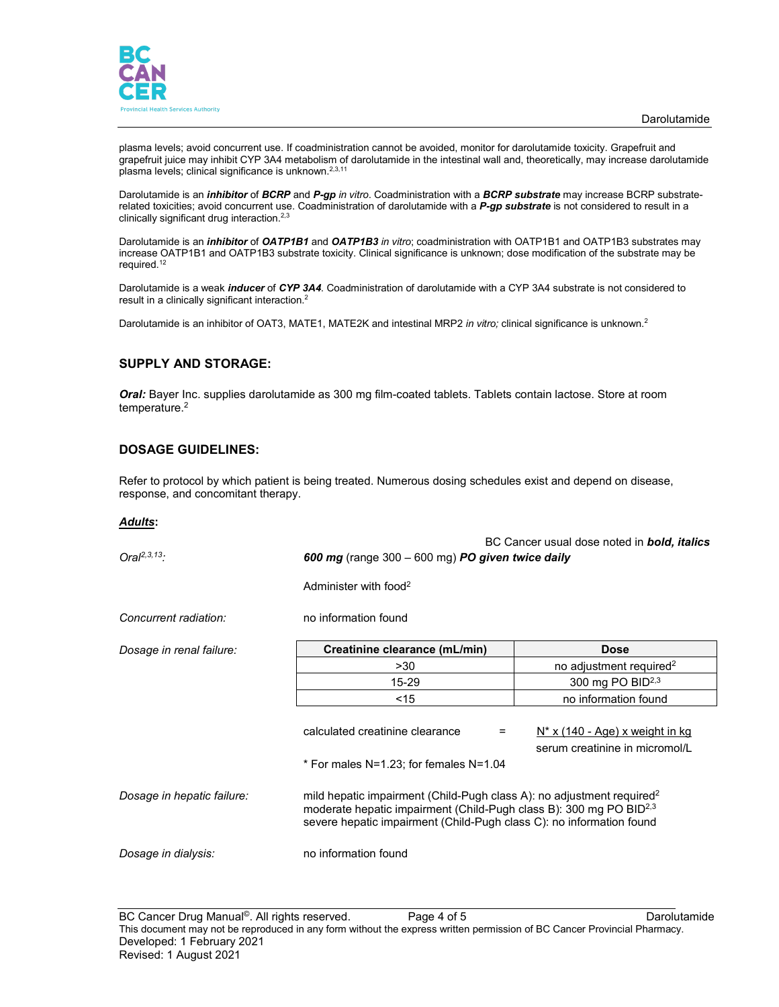

plasma levels; avoid concurrent use. If coadministration cannot be avoided, monitor for darolutamide toxicity. Grapefruit and grapefruit juice may inhibit CYP 3A4 metabolism of darolutamide in the intestinal wall and, theoretically, may increase darolutamide plasma levels; clinical significance is unknown.<sup>2,3,11</sup>

Darolutamide is an *inhibitor* of *BCRP* and *P-gp in vitro*. Coadministration with a *BCRP substrate* may increase BCRP substraterelated toxicities; avoid concurrent use. Coadministration of darolutamide with a *P-gp substrate* is not considered to result in a clinically significant drug interaction. 2,3

Darolutamide is an *inhibitor* of *OATP1B1* and *OATP1B3 in vitro*; coadministration with OATP1B1 and OATP1B3 substrates may increase OATP1B1 and OATP1B3 substrate toxicity. Clinical significance is unknown; dose modification of the substrate may be required.12

Darolutamide is a weak *inducer* of *CYP 3A4*. Coadministration of darolutamide with a CYP 3A4 substrate is not considered to result in a clinically significant interaction.<sup>2</sup>

Darolutamide is an inhibitor of OAT3, MATE1, MATE2K and intestinal MRP2 *in vitro;* clinical significance is unknown. 2

## **SUPPLY AND STORAGE:**

*Oral:* Bayer Inc. supplies darolutamide as 300 mg film-coated tablets. Tablets contain lactose. Store at room temperature. 2

### **DOSAGE GUIDELINES:**

Refer to protocol by which patient is being treated. Numerous dosing schedules exist and depend on disease, response, and concomitant therapy.

#### *Adults***:**

| $Oral2,3,13$ :             | BC Cancer usual dose noted in <b>bold, italics</b><br>600 mg (range $300 - 600$ mg) PO given twice daily                                                                                                                                    |                                                                          |  |
|----------------------------|---------------------------------------------------------------------------------------------------------------------------------------------------------------------------------------------------------------------------------------------|--------------------------------------------------------------------------|--|
|                            | Administer with food <sup>2</sup>                                                                                                                                                                                                           |                                                                          |  |
| Concurrent radiation:      | no information found                                                                                                                                                                                                                        |                                                                          |  |
| Dosage in renal failure:   | Creatinine clearance (mL/min)                                                                                                                                                                                                               | <b>Dose</b>                                                              |  |
|                            | >30                                                                                                                                                                                                                                         | no adjustment required <sup>2</sup>                                      |  |
|                            | 15-29                                                                                                                                                                                                                                       | 300 mg PO BID <sup>2,3</sup>                                             |  |
|                            | $<$ 15                                                                                                                                                                                                                                      | no information found                                                     |  |
|                            | calculated creatinine clearance<br>$=$                                                                                                                                                                                                      | <u>N* x (140 - Age) x weight in kg</u><br>serum creatinine in micromol/L |  |
|                            | * For males N=1.23; for females N=1.04                                                                                                                                                                                                      |                                                                          |  |
| Dosage in hepatic failure: | mild hepatic impairment (Child-Pugh class A): no adjustment required <sup>2</sup><br>moderate hepatic impairment (Child-Pugh class B): 300 mg PO BID <sup>2,3</sup><br>severe hepatic impairment (Child-Pugh class C): no information found |                                                                          |  |
| Dosage in dialysis:        | no information found                                                                                                                                                                                                                        |                                                                          |  |